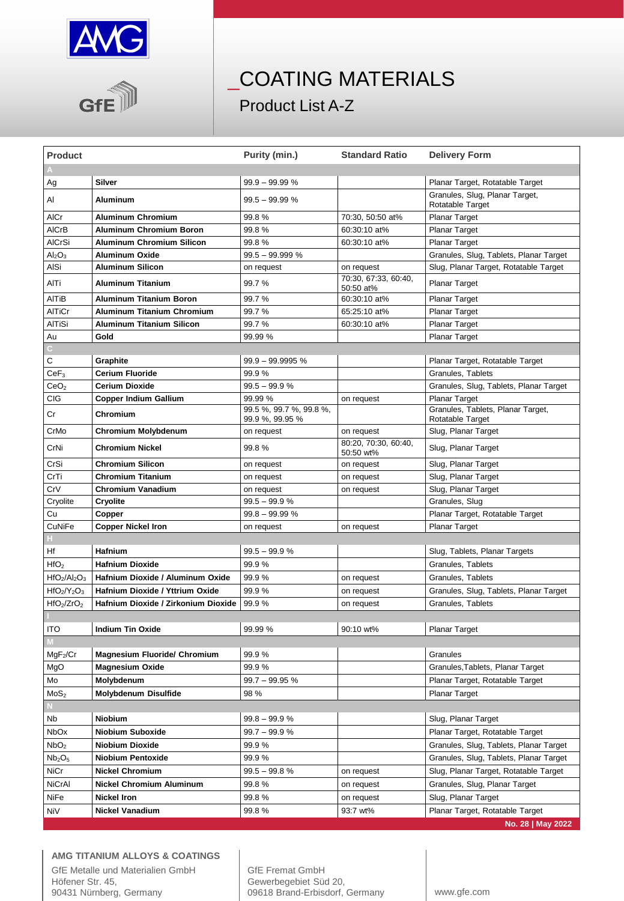



## \_COATING MATERIALS

Product List A-Z

| <b>Product</b>                     |                                     | Purity (min.)                              | <b>Standard Ratio</b>             | <b>Delivery Form</b>                                  |
|------------------------------------|-------------------------------------|--------------------------------------------|-----------------------------------|-------------------------------------------------------|
|                                    |                                     |                                            |                                   |                                                       |
| Ag                                 | <b>Silver</b>                       | $99.9 - 99.99 %$                           |                                   | Planar Target, Rotatable Target                       |
| Al                                 | <b>Aluminum</b>                     | $99.5 - 99.99 %$                           |                                   | Granules, Slug, Planar Target,<br>Rotatable Target    |
| AICr                               | <b>Aluminum Chromium</b>            | 99.8%                                      | 70:30, 50:50 at%                  | <b>Planar Target</b>                                  |
| AICrB                              | Aluminum Chromium Boron             | 99.8%                                      | 60:30:10 at%                      | <b>Planar Target</b>                                  |
| AICrSi                             | Aluminum Chromium Silicon           | 99.8%                                      | 60:30:10 at%                      | <b>Planar Target</b>                                  |
| Al <sub>2</sub> O <sub>3</sub>     | <b>Aluminum Oxide</b>               | $99.5 - 99.999 %$                          |                                   | Granules, Slug, Tablets, Planar Target                |
| AISi                               | <b>Aluminum Silicon</b>             | on request                                 | on request                        | Slug, Planar Target, Rotatable Target                 |
| AlTi                               | <b>Aluminum Titanium</b>            | 99.7%                                      | 70:30, 67:33, 60:40,<br>50:50 at% | <b>Planar Target</b>                                  |
| AITiB                              | <b>Aluminum Titanium Boron</b>      | 99.7%                                      | 60:30:10 at%                      | <b>Planar Target</b>                                  |
| AlTiCr                             | Aluminum Titanium Chromium          | 99.7%                                      | 65:25:10 at%                      | <b>Planar Target</b>                                  |
| <b>AlTiSi</b>                      | <b>Aluminum Titanium Silicon</b>    | 99.7%                                      | 60:30:10 at%                      | <b>Planar Target</b>                                  |
| Au                                 | Gold                                | 99.99 %                                    |                                   | <b>Planar Target</b>                                  |
| C.                                 |                                     |                                            |                                   |                                                       |
| С                                  | Graphite                            | $99.9 - 99.9995$ %                         |                                   | Planar Target, Rotatable Target                       |
| CeF <sub>3</sub>                   | Cerium Fluoride                     | 99.9%                                      |                                   | Granules, Tablets                                     |
| CeO <sub>2</sub>                   | <b>Cerium Dioxide</b>               | $99.5 - 99.9 %$                            |                                   | Granules, Slug, Tablets, Planar Target                |
| CIG                                | Copper Indium Gallium               | 99.99 %                                    | on request                        | <b>Planar Target</b>                                  |
| Cr                                 | Chromium                            | 99.5 %, 99.7 %, 99.8 %,<br>99.9 %, 99.95 % |                                   | Granules, Tablets, Planar Target,<br>Rotatable Target |
| CrMo                               | <b>Chromium Molybdenum</b>          | on request                                 | on request                        | Slug, Planar Target                                   |
| CrNi                               | <b>Chromium Nickel</b>              | 99.8%                                      | 80:20, 70:30, 60:40,<br>50:50 wt% | Slug, Planar Target                                   |
| CrSi                               | <b>Chromium Silicon</b>             | on request                                 | on request                        | Slug, Planar Target                                   |
| CrTi                               | <b>Chromium Titanium</b>            | on request                                 | on request                        | Slug, Planar Target                                   |
| CrV                                | Chromium Vanadium                   | on request                                 | on request                        | Slug, Planar Target                                   |
| Cryolite                           | Cryolite                            | $99.5 - 99.9 %$                            |                                   | Granules, Slug                                        |
| Сu                                 | Copper                              | $99.8 - 99.99 %$                           |                                   | Planar Target, Rotatable Target                       |
| CuNiFe                             | <b>Copper Nickel Iron</b>           | on request                                 | on request                        | <b>Planar Target</b>                                  |
|                                    |                                     |                                            |                                   |                                                       |
| Ηf                                 | <b>Hafnium</b>                      | $99.5 - 99.9 %$                            |                                   | Slug, Tablets, Planar Targets                         |
| HfO <sub>2</sub>                   | <b>Hafnium Dioxide</b>              | 99.9%                                      |                                   | Granules, Tablets                                     |
| $HfO2/Al2O3$                       | Hafnium Dioxide / Aluminum Oxide    | 99.9%                                      | on request                        | Granules, Tablets                                     |
| $HfO2/Y2O3$                        | Hafnium Dioxide / Yttrium Oxide     | 99.9%                                      | on request                        | Granules, Slug, Tablets, Planar Target                |
| HfO <sub>2</sub> /ZrO <sub>2</sub> | Hafnium Dioxide / Zirkonium Dioxide | 99.9%                                      | on request                        | Granules, Tablets                                     |
|                                    |                                     |                                            |                                   |                                                       |
| ITO                                | <b>Indium Tin Oxide</b>             | 99.99 %                                    | 90:10 wt%                         | <b>Planar Target</b>                                  |
| MgF <sub>2</sub> /Cr               | <b>Magnesium Fluoride/ Chromium</b> | 99.9%                                      |                                   | Granules                                              |
| MgO                                | <b>Magnesium Oxide</b>              | 99.9%                                      |                                   | Granules, Tablets, Planar Target                      |
| Mo                                 | Molybdenum                          | $99.7 - 99.95 %$                           |                                   | Planar Target, Rotatable Target                       |
| MoS <sub>2</sub>                   | <b>Molybdenum Disulfide</b>         | 98 %                                       |                                   | <b>Planar Target</b>                                  |
|                                    |                                     |                                            |                                   |                                                       |
| Nb                                 | Niobium                             | $99.8 - 99.9 %$                            |                                   | Slug, Planar Target                                   |
| NbOx                               | Niobium Suboxide                    | $99.7 - 99.9 %$                            |                                   | Planar Target, Rotatable Target                       |
| NbO <sub>2</sub>                   | Niobium Dioxide                     | 99.9%                                      |                                   | Granules, Slug, Tablets, Planar Target                |
| Nb <sub>2</sub> O <sub>5</sub>     | Niobium Pentoxide                   | 99.9%                                      |                                   | Granules, Slug, Tablets, Planar Target                |
| NiCr                               | <b>Nickel Chromium</b>              | $99.5 - 99.8 %$                            | on request                        | Slug, Planar Target, Rotatable Target                 |
| NiCrAl                             |                                     |                                            |                                   | Granules, Slug, Planar Target                         |
|                                    | <b>Nickel Chromium Aluminum</b>     | 99.8%                                      | on request                        |                                                       |
| NiFe                               | Nickel Iron                         | 99.8%                                      | on request                        | Slug, Planar Target                                   |
| NiV                                | Nickel Vanadium                     | 99.8%                                      | 93:7 wt%                          | Planar Target, Rotatable Target                       |
|                                    |                                     |                                            |                                   | No. 28   May 2022                                     |

## **AMG TITANIUM ALLOYS & COATINGS**

GfE Metalle und Materialien GmbH Höfener Str. 45, 90431 Nürnberg, Germany

GfE Fremat GmbH Gewerbegebiet Süd 20, 09618 Brand-Erbisdorf, Germany www.gfe.com